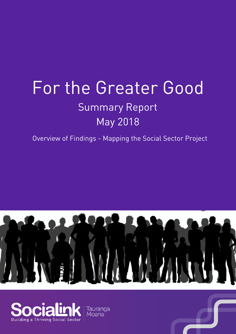# For the Greater Good Summary Report May 2018

Overview of Findings - Mapping the Social Sector Project





Tauranga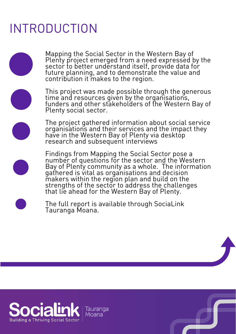## INTRODUCTION

Mapping the Social Sector in the Western Bay of Plenty project emerged from a need expressed by the sector to better understand itself, provide data for future planning, and to demonstrate the value and contribution it makes to the region.



This project was made possible through the generous time and resources given by the organisations, funders and other stakeholders of the Western Bay of Plenty social sector.

The project gathered information about social service organisations and their services and the impact they have in the Western Bay of Plenty via desktop research and subsequent interviews

Findings from Mapping the Social Sector pose a number of questions for the sector and the Western Bay of Plenty community as a whole. The information gathered is vital as organisations and decision makers within the region plan and build on the strengths of the sector to address the challenges that lie ahead for the Western Bay of Plenty.



The full report is available through SociaLink Tauranga Moana.

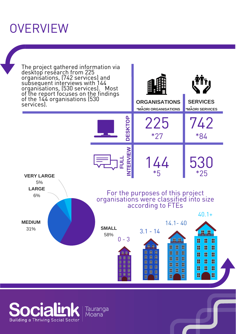### **OVERVIEW**



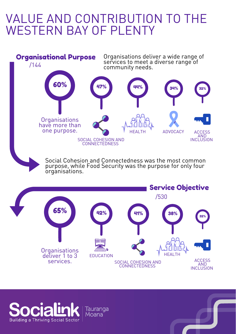### VALUE AND CONTRIBUTION TO THE WESTERN BAY OF PLENTY



**Organisations** deliver 1 to 3 services.

AND **INCLUSION** 

ACCESS

HEALTH



Tauranga Moana

EDUCATION

SOCIAL COHESION AND CONNECTEDNESS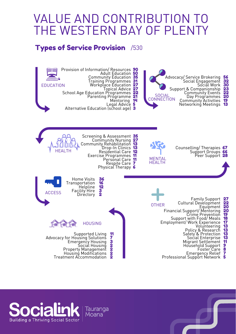### VALUE AND CONTRIBUTION TO THE WESTERN BAY OF PLENTY

#### Types of Service Provision /530



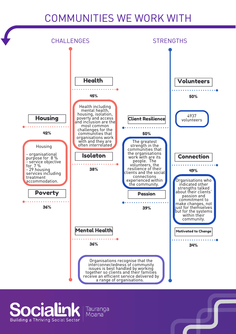#### COMMUNITIES WE WORK WITH



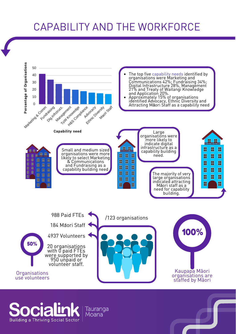#### CAPABILITY AND THE WORKFORCE



**Building a Thriving Social Sector** 

Tauranga<br>Moana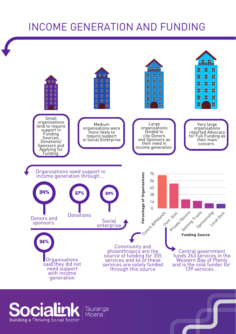#### INCOME GENERATION AND FUNDING



**Building a Thriving Social Sector**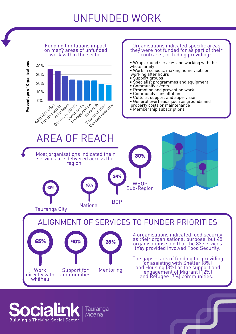#### UNFUNDED WORK



Tauranga Moana

**Building a Thriving Social Sector**